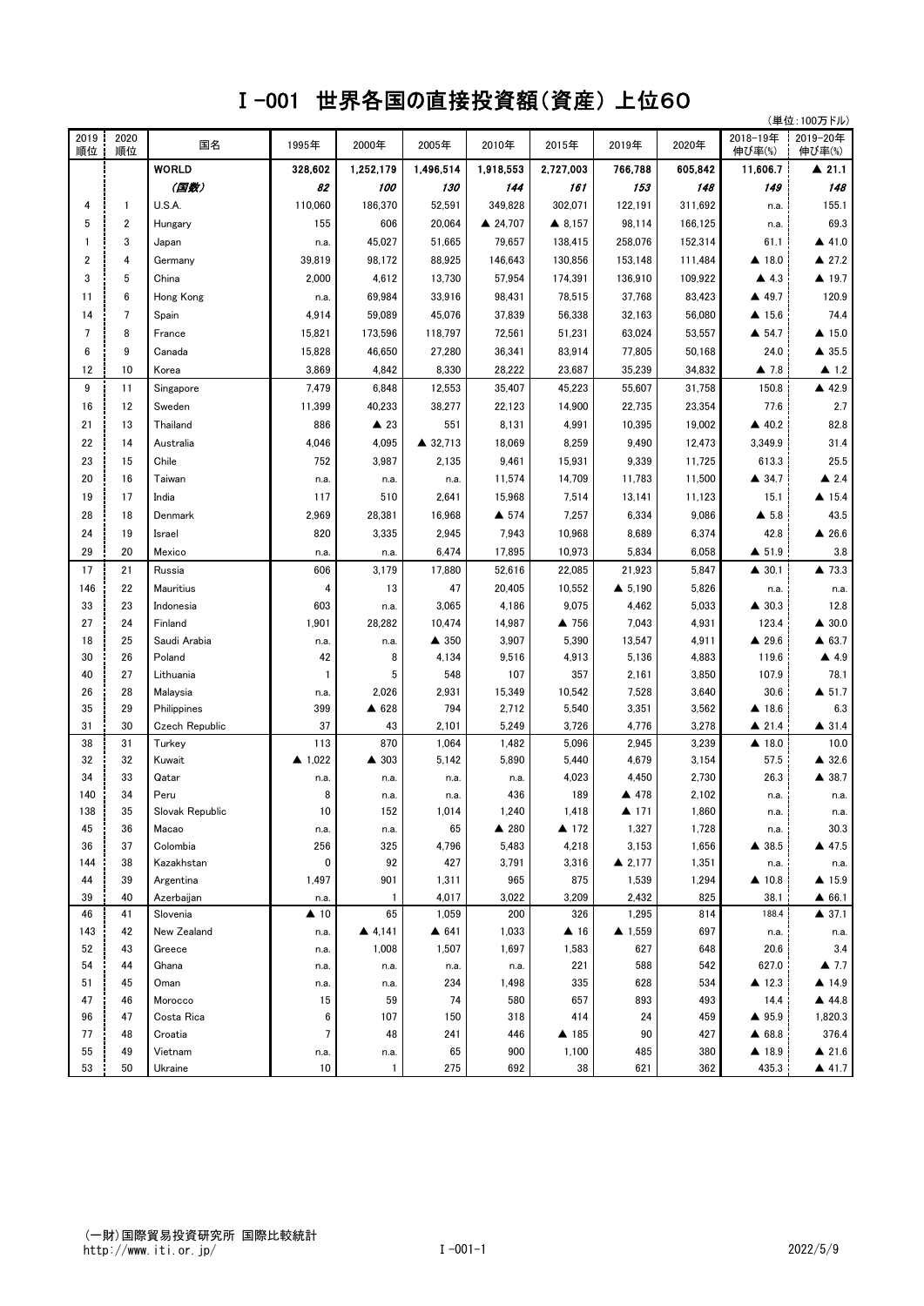## Ⅰ-001 世界各国の直接投資額(資産) 上位60

|            |                 | (単位:100万ドル)             |                     |                |                      |                 |                     |                      |                |                       |                          |
|------------|-----------------|-------------------------|---------------------|----------------|----------------------|-----------------|---------------------|----------------------|----------------|-----------------------|--------------------------|
| 2019<br>順位 | 2020<br>順位      | 国名                      | 1995年               | 2000年          | 2005年                | 2010年           | 2015年               | 2019年                | 2020年          | 2018-19年<br>伸び率(%)    | 2019-20年<br>伸び率(%)       |
|            |                 | <b>WORLD</b>            | 328,602             | 1,252,179      | 1,496,514            | 1,918,553       | 2,727,003           | 766,788              | 605,842        | 11,606.7              | $\blacktriangle$ 21.1    |
|            |                 | (国数)                    | 82                  | 100            | 130                  | 144             | 161                 | 153                  | 148            | 149                   | 148                      |
| 4          | 1               | U.S.A.                  | 110.060             | 186,370        | 52,591               | 349,828         | 302,071             | 122,191              | 311,692        | n.a.                  | 155.1                    |
| 5          | 2               | Hungary                 | 155                 | 606            | 20,064               | ▲ 24,707        | ▲ 8,157             | 98,114               | 166,125        | n.a.                  | 69.3                     |
| 1          | 3               | Japan                   | n.a.                | 45,027         | 51,665               | 79,657          | 138,415             | 258,076              | 152,314        | 61.1                  | $\triangle$ 41.0         |
| 2          | 4               | Germany                 | 39,819              | 98,172         | 88,925               | 146,643         | 130,856             | 153,148              | 111,484        | ▲ 18.0                | ▲ 27.2                   |
| 3          | 5               | China                   | 2,000               | 4,612          | 13,730               | 57,954          | 174,391             | 136,910              | 109,922        | $\triangle$ 4.3       | ▲ 19.7                   |
| 11         | 6               | Hong Kong               | n.a.                | 69,984         | 33,916               | 98,431          | 78,515              | 37,768               | 83,423         | ▲ 49.7                | 120.9                    |
| 14         | $7\overline{ }$ | Spain                   | 4,914               | 59,089         | 45,076               | 37,839          | 56,338              | 32,163               | 56,080         | $\blacktriangle$ 15.6 | 74.4                     |
| 7          | 8               | France                  | 15,821              | 173,596        | 118,797              | 72,561          | 51,231              | 63,024               | 53,557         | $\triangle$ 54.7      | $\triangle$ 15.0         |
| 6          | 9               | Canada                  | 15,828              | 46,650         | 27,280               | 36,341          | 83,914              | 77,805               | 50,168         | 24.0                  | $\triangle$ 35.5         |
| 12         | 10              | Korea                   | 3,869               | 4,842          | 8,330                | 28,222          | 23,687              | 35,239               | 34,832         | $\triangle$ 7.8       | $\blacktriangle$ 1.2     |
| 9          | 11              | Singapore               | 7,479               | 6,848          | 12,553               | 35,407          | 45,223              | 55,607               | 31,758         | 150.8                 | ▲ 42.9                   |
| 16         | 12              | Sweden                  | 11,399              | 40,233         | 38,277               | 22,123          | 14,900              | 22,735               | 23,354         | 77.6                  | 2.7                      |
| 21         | 13              | Thailand                | 886                 | $\triangle$ 23 | 551                  | 8,131           | 4,991               | 10,395               | 19,002         | ▲ 40.2                | 82.8                     |
| 22         | 14              |                         | 4,046               | 4,095          |                      | 18,069          |                     | 9,490                |                |                       | 31.4                     |
|            |                 | Australia               |                     |                | ▲ 32,713             |                 | 8,259               |                      | 12,473         | 3,349.9               |                          |
| 23         | 15              | Chile                   | 752                 | 3,987          | 2,135                | 9,461           | 15,931              | 9,339                | 11,725         | 613.3                 | 25.5                     |
| 20         | 16              | Taiwan                  | n.a.                | n.a.           | n.a.                 | 11,574          | 14,709              | 11,783               | 11,500         | ▲ 34.7                | $\triangle$ 2.4          |
| 19         | 17              | India                   | 117                 | 510            | 2,641                | 15,968          | 7,514               | 13,141               | 11,123         | 15.1                  | $\triangle$ 15.4         |
| 28         | 18              | Denmark                 | 2,969               | 28,381         | 16,968               | ▲ 574           | 7,257               | 6,334                | 9,086          | $\triangle$ 5.8       | 43.5                     |
| 24         | 19              | Israel                  | 820                 | 3,335          | 2,945                | 7,943           | 10,968              | 8,689                | 6,374          | 42.8                  | $\triangle$ 26.6         |
| 29         | 20              | Mexico                  | n.a.                | n.a.           | 6,474                | 17,895          | 10,973              | 5,834                | 6,058          | ▲ 51.9                | 3.8                      |
| 17         | 21              | Russia                  | 606                 | 3,179          | 17,880               | 52,616          | 22,085              | 21,923               | 5,847          | $\triangle$ 30.1      | ▲ 73.3                   |
| 146        | 22              | Mauritius               | 4                   | 13             | 47                   | 20,405          | 10,552              | $\triangle$ 5,190    | 5,826          | n.a.                  | n.a.                     |
| 33         | 23              | Indonesia               | 603                 | n.a.           | 3,065                | 4,186           | 9,075               | 4,462                | 5,033          | $\triangle$ 30.3      | 12.8                     |
| 27         | 24              | Finland                 | 1,901               | 28,282         | 10,474               | 14,987          | ▲ 756               | 7,043                | 4,931          | 123.4                 | $\triangle$ 30.0         |
| 18         | 25              | Saudi Arabia            | n.a.                | n.a.           | $\blacktriangle$ 350 | 3,907           | 5,390               | 13,547               | 4,911          | $\triangle$ 29.6      | $\triangle$ 63.7         |
| 30         | 26              | Poland                  | 42                  | 8              | 4,134                | 9,516           | 4,913               | 5,136                | 4,883          | 119.6                 | $\triangle$ 4.9          |
| 40         | 27<br>28        | Lithuania               | $\mathbf{1}$        | 5              | 548                  | 107             | 357                 | 2,161                | 3,850          | 107.9<br>30.6         | 78.1<br>$\triangle$ 51.7 |
| 26<br>35   | 29              | Malaysia<br>Philippines | n.a.<br>399         | 2,026<br>▲ 628 | 2,931<br>794         | 15,349<br>2,712 | 10,542<br>5,540     | 7,528<br>3,351       | 3,640<br>3,562 | ▲ 18.6                | 6.3                      |
| 31         | 30              | Czech Republic          | 37                  | 43             | 2,101                | 5,249           | 3,726               | 4,776                | 3,278          | $\triangle$ 21.4      | $\triangle$ 31.4         |
| 38         | 31              | Turkey                  | 113                 | 870            | 1,064                | 1,482           | 5,096               | 2,945                | 3,239          | ▲ 18.0                | 10.0                     |
| 32         | 32              | Kuwait                  | ▲ 1,022             | ▲ 303          | 5,142                | 5,890           | 5,440               | 4,679                | 3,154          | 57.5                  | ▲ 32.6                   |
| 34         | 33              | Qatar                   | n.a.                | n.a.           | n.a.                 | n.a.            | 4,023               | 4,450                | 2,730          | 26.3                  | ▲ 38.7                   |
| 140        | 34              | Peru                    | 8                   | n.a.           | n.a.                 | 436             | 189                 | ▲ 478                | 2,102          | n.a.                  | n.a.                     |
| 138        | 35              | Slovak Republic         | 10                  | 152            | 1,014                | 1,240           | 1,418               | $\blacktriangle$ 171 | 1,860          | n.a.                  | n.a.                     |
| 45         | 36              | Macao                   | n.a.                | n.a.           | 65                   | ▲ 280           | ▲ 172               | 1,327                | 1,728          | n.a.                  | 30.3                     |
| 36         | 37              | Colombia                | 256                 | 325            | 4,796                | 5,483           | 4,218               | 3,153                | 1,656          | ▲ 38.5                | ▲ 47.5                   |
| 144        | 38              | Kazakhstan              | 0                   | 92             | 427                  | 3,791           | 3,316               | $\triangle$ 2,177    | 1,351          | n.a.                  | n.a.                     |
| 44         | 39              | Argentina               | 1,497               | 901            | 1,311                | 965             | 875                 | 1,539                | 1,294          | ▲ 10.8                | $\triangle$ 15.9         |
| 39         | 40              | Azerbaijan              | n.a.                | $\mathbf{1}$   | 4,017                | 3,022           | 3,209               | 2,432                | 825            | 38.1                  | ▲ 66.1                   |
| 46         | 41              | Slovenia                | $\blacktriangle$ 10 | 65             | 1,059                | 200             | 326                 | 1,295                | 814            | 188.4                 | $\triangle$ 37.1         |
| 143        | 42              | New Zealand             | n.a.                | ▲ 4,141        | ▲ 641                | 1,033           | $\blacktriangle$ 16 | ▲ 1,559              | 697            | n.a.                  | n.a.                     |
| 52         | 43              | Greece                  | n.a.                | 1,008          | 1,507                | 1,697           | 1,583               | 627                  | 648            | 20.6                  | 3.4                      |
| 54         | 44              | Ghana                   | n.a.                | n.a.           | n.a.                 | n.a.            | 221                 | 588                  | 542            | 627.0                 | $\triangle$ 7.7          |
| 51         | 45              | Oman                    | n.a.                | n.a.           | 234                  | 1,498           | 335                 | 628                  | 534            | ▲ 12.3                | $\triangle$ 14.9         |
| 47         | 46              | Morocco                 | 15                  | 59             | 74                   | 580             | 657                 | 893                  | 493            | 14.4                  | ▲ 44.8                   |
| 96         | 47              | Costa Rica              | 6                   | 107            | 150                  | 318             | 414                 | 24                   | 459            | ▲ 95.9                | 1,820.3                  |
| 77         | 48              | Croatia                 | $\overline{7}$      | 48             | 241                  | 446             | ▲ 185               | 90                   | 427            | ▲ 68.8                | 376.4                    |
| 55         | 49              | Vietnam                 | n.a.                | n.a.           | 65                   | 900             | 1,100               | 485                  | 380            | ▲ 18.9                | $\triangle$ 21.6         |
| 53         | 50              | Ukraine                 | 10                  | $\mathbf{1}$   | 275                  | 692             | 38                  | 621                  | 362            | 435.3                 | 41.7                     |